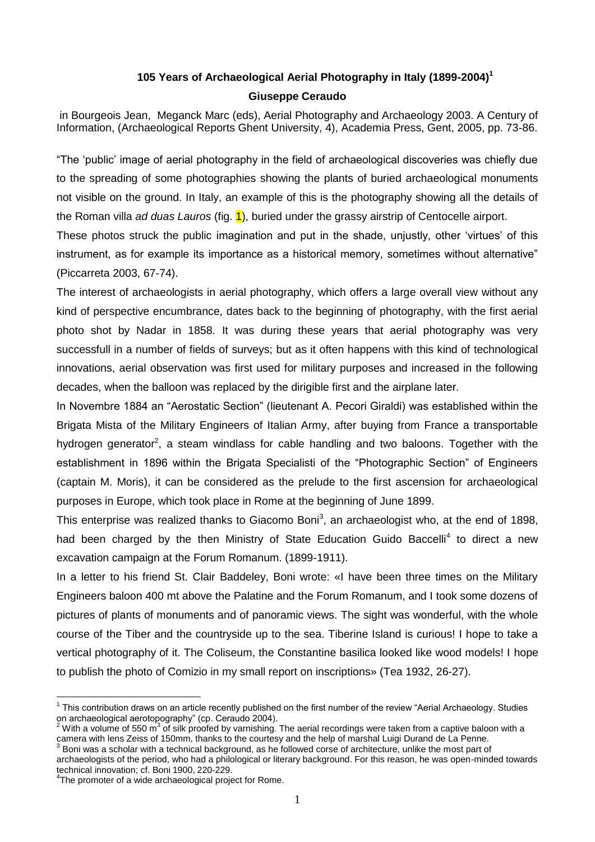## **105 Years of Archaeological Aerial Photography in Italy (1899-2004)<sup>1</sup> Giuseppe Ceraudo**

in Bourgeois Jean, Meganck Marc (eds), Aerial Photography and Archaeology 2003. A Century of Information, (Archaeological Reports Ghent University, 4), Academia Press, Gent, 2005, pp. 73-86.

"The 'public' image of aerial photography in the field of archaeological discoveries was chiefly due to the spreading of some photographies showing the plants of buried archaeological monuments not visible on the ground. In Italy, an example of this is the photography showing all the details of the Roman villa *ad duas Lauros* (fig. 1), buried under the grassy airstrip of Centocelle airport.

These photos struck the public imagination and put in the shade, unjustly, other 'virtues' of this instrument, as for example its importance as a historical memory, sometimes without alternative" (Piccarreta 2003, 67-74).

The interest of archaeologists in aerial photography, which offers a large overall view without any kind of perspective encumbrance, dates back to the beginning of photography, with the first aerial photo shot by Nadar in 1858. It was during these years that aerial photography was very successfull in a number of fields of surveys; but as it often happens with this kind of technological innovations, aerial observation was first used for military purposes and increased in the following decades, when the balloon was replaced by the dirigible first and the airplane later.

In Novembre 1884 an "Aerostatic Section" (lieutenant A. Pecori Giraldi) was established within the Brigata Mista of the Military Engineers of Italian Army, after buying from France a transportable hydrogen generator<sup>2</sup>, a steam windlass for cable handling and two baloons. Together with the establishment in 1896 within the Brigata Specialisti of the "Photographic Section" of Engineers (captain M. Moris), it can be considered as the prelude to the first ascension for archaeological purposes in Europe, which took place in Rome at the beginning of June 1899.

This enterprise was realized thanks to Giacomo Boni<sup>3</sup>, an archaeologist who, at the end of 1898, had been charged by the then Ministry of State Education Guido Baccelli<sup>4</sup> to direct a new excavation campaign at the Forum Romanum. (1899-1911).

In a letter to his friend St. Clair Baddeley, Boni wrote: «I have been three times on the Military Engineers baloon 400 mt above the Palatine and the Forum Romanum, and I took some dozens of pictures of plants of monuments and of panoramic views. The sight was wonderful, with the whole course of the Tiber and the countryside up to the sea. Tiberine Island is curious! I hope to take a vertical photography of it. The Coliseum, the Constantine basilica looked like wood models! I hope to publish the photo of Comizio in my small report on inscriptions» (Tea 1932, 26-27).

 1 This contribution draws on an article recently published on the first number of the review "Aerial Archaeology. Studies on archaeological aerotopography" (cp. Ceraudo 2004).

 $^2$  With a volume of 550 m<sup>3</sup> of silk proofed by varnishing. The aerial recordings were taken from a captive baloon with a camera with lens Zeiss of 150mm, thanks to the courtesy and the help of marshal Luigi Durand de La Penne.<br><sup>3</sup> Beni was a schelar with a technical beskare und, so he followed sexe of explitecture, unlike the meet part of Boni was a scholar with a technical background, as he followed corse of architecture, unlike the most part of

archaeologists of the period, who had a philological or literary background. For this reason, he was open-minded towards technical innovation; cf. Boni 1900, 220-229.

<sup>&</sup>lt;sup>4</sup>The promoter of a wide archaeological project for Rome.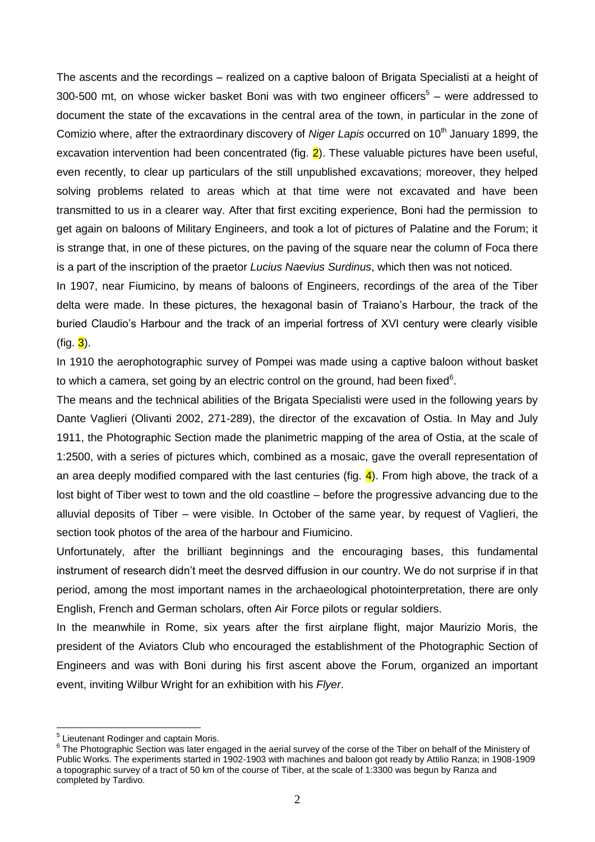The ascents and the recordings – realized on a captive baloon of Brigata Specialisti at a height of 300-500 mt, on whose wicker basket Boni was with two engineer officers $5 -$  were addressed to document the state of the excavations in the central area of the town, in particular in the zone of Comizio where, after the extraordinary discovery of *Niger Lapis* occurred on 10<sup>th</sup> January 1899, the excavation intervention had been concentrated (fig.  $2$ ). These valuable pictures have been useful, even recently, to clear up particulars of the still unpublished excavations; moreover, they helped solving problems related to areas which at that time were not excavated and have been transmitted to us in a clearer way. After that first exciting experience, Boni had the permission to get again on baloons of Military Engineers, and took a lot of pictures of Palatine and the Forum; it is strange that, in one of these pictures, on the paving of the square near the column of Foca there is a part of the inscription of the praetor *Lucius Naevius Surdinus*, which then was not noticed.

In 1907, near Fiumicino, by means of baloons of Engineers, recordings of the area of the Tiber delta were made. In these pictures, the hexagonal basin of Traiano's Harbour, the track of the buried Claudio's Harbour and the track of an imperial fortress of XVI century were clearly visible (fig.  $3$ ).

In 1910 the aerophotographic survey of Pompei was made using a captive baloon without basket to which a camera, set going by an electric control on the ground, had been fixed $6$ .

The means and the technical abilities of the Brigata Specialisti were used in the following years by Dante Vaglieri (Olivanti 2002, 271-289), the director of the excavation of Ostia. In May and July 1911, the Photographic Section made the planimetric mapping of the area of Ostia, at the scale of 1:2500, with a series of pictures which, combined as a mosaic, gave the overall representation of an area deeply modified compared with the last centuries (fig.  $\frac{4}{1}$ ). From high above, the track of a lost bight of Tiber west to town and the old coastline – before the progressive advancing due to the alluvial deposits of Tiber – were visible. In October of the same year, by request of Vaglieri, the section took photos of the area of the harbour and Fiumicino.

Unfortunately, after the brilliant beginnings and the encouraging bases, this fundamental instrument of research didn't meet the desrved diffusion in our country. We do not surprise if in that period, among the most important names in the archaeological photointerpretation, there are only English, French and German scholars, often Air Force pilots or regular soldiers.

In the meanwhile in Rome, six years after the first airplane flight, major Maurizio Moris, the president of the Aviators Club who encouraged the establishment of the Photographic Section of Engineers and was with Boni during his first ascent above the Forum, organized an important event, inviting Wilbur Wright for an exhibition with his *Flyer*.

<u>.</u>

<sup>&</sup>lt;sup>5</sup> Lieutenant Rodinger and captain Moris.

 $6$  The Photographic Section was later engaged in the aerial survey of the corse of the Tiber on behalf of the Ministery of Public Works. The experiments started in 1902-1903 with machines and baloon got ready by Attilio Ranza; in 1908-1909 a topographic survey of a tract of 50 km of the course of Tiber, at the scale of 1:3300 was begun by Ranza and completed by Tardivo.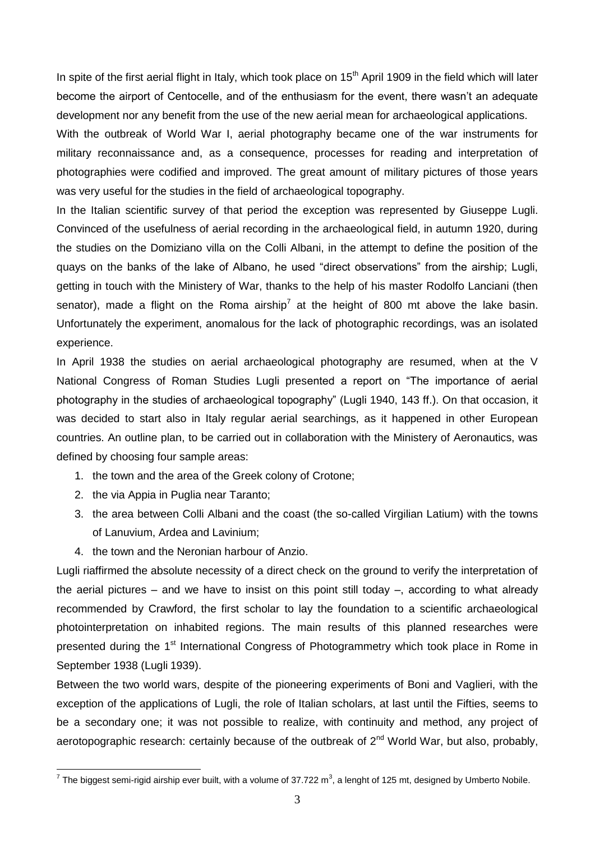In spite of the first aerial flight in Italy, which took place on  $15<sup>th</sup>$  April 1909 in the field which will later become the airport of Centocelle, and of the enthusiasm for the event, there wasn't an adequate development nor any benefit from the use of the new aerial mean for archaeological applications.

With the outbreak of World War I, aerial photography became one of the war instruments for military reconnaissance and, as a consequence, processes for reading and interpretation of photographies were codified and improved. The great amount of military pictures of those years was very useful for the studies in the field of archaeological topography.

In the Italian scientific survey of that period the exception was represented by Giuseppe Lugli. Convinced of the usefulness of aerial recording in the archaeological field, in autumn 1920, during the studies on the Domiziano villa on the Colli Albani, in the attempt to define the position of the quays on the banks of the lake of Albano, he used "direct observations" from the airship; Lugli, getting in touch with the Ministery of War, thanks to the help of his master Rodolfo Lanciani (then senator), made a flight on the Roma airship<sup>7</sup> at the height of 800 mt above the lake basin. Unfortunately the experiment, anomalous for the lack of photographic recordings, was an isolated experience.

In April 1938 the studies on aerial archaeological photography are resumed, when at the V National Congress of Roman Studies Lugli presented a report on "The importance of aerial photography in the studies of archaeological topography" (Lugli 1940, 143 ff.). On that occasion, it was decided to start also in Italy regular aerial searchings, as it happened in other European countries. An outline plan, to be carried out in collaboration with the Ministery of Aeronautics, was defined by choosing four sample areas:

- 1. the town and the area of the Greek colony of Crotone;
- 2. the via Appia in Puglia near Taranto;

1

- 3. the area between Colli Albani and the coast (the so-called Virgilian Latium) with the towns of Lanuvium, Ardea and Lavinium;
- 4. the town and the Neronian harbour of Anzio.

Lugli riaffirmed the absolute necessity of a direct check on the ground to verify the interpretation of the aerial pictures – and we have to insist on this point still today –, according to what already recommended by Crawford, the first scholar to lay the foundation to a scientific archaeological photointerpretation on inhabited regions. The main results of this planned researches were presented during the 1<sup>st</sup> International Congress of Photogrammetry which took place in Rome in September 1938 (Lugli 1939).

Between the two world wars, despite of the pioneering experiments of Boni and Vaglieri, with the exception of the applications of Lugli, the role of Italian scholars, at last until the Fifties, seems to be a secondary one; it was not possible to realize, with continuity and method, any project of aerotopographic research: certainly because of the outbreak of 2<sup>nd</sup> World War, but also, probably,

<sup>&</sup>lt;sup>7</sup> The biggest semi-rigid airship ever built, with a volume of 37.722 m<sup>3</sup>, a lenght of 125 mt, designed by Umberto Nobile.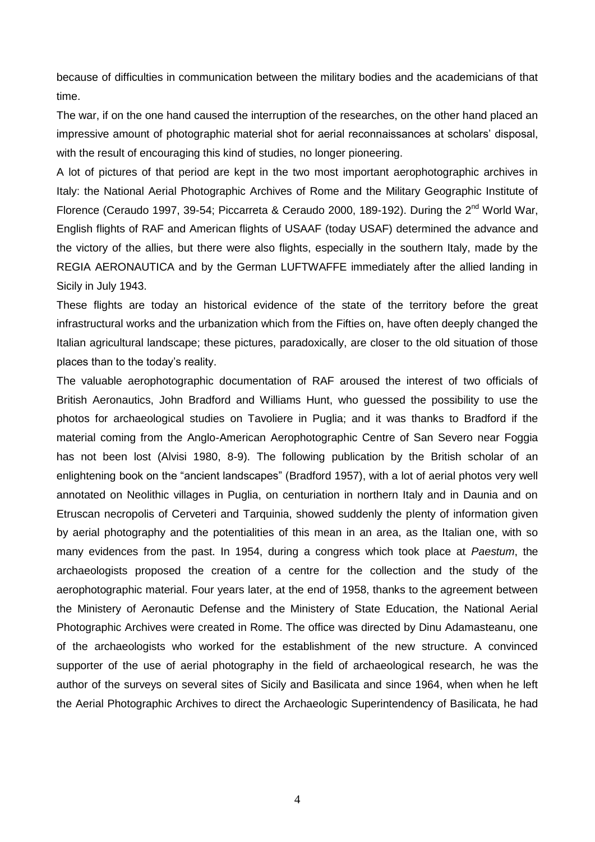because of difficulties in communication between the military bodies and the academicians of that time.

The war, if on the one hand caused the interruption of the researches, on the other hand placed an impressive amount of photographic material shot for aerial reconnaissances at scholars' disposal, with the result of encouraging this kind of studies, no longer pioneering.

A lot of pictures of that period are kept in the two most important aerophotographic archives in Italy: the National Aerial Photographic Archives of Rome and the Military Geographic Institute of Florence (Ceraudo 1997, 39-54; Piccarreta & Ceraudo 2000, 189-192). During the  $2^{nd}$  World War, English flights of RAF and American flights of USAAF (today USAF) determined the advance and the victory of the allies, but there were also flights, especially in the southern Italy, made by the REGIA AERONAUTICA and by the German LUFTWAFFE immediately after the allied landing in Sicily in July 1943.

These flights are today an historical evidence of the state of the territory before the great infrastructural works and the urbanization which from the Fifties on, have often deeply changed the Italian agricultural landscape; these pictures, paradoxically, are closer to the old situation of those places than to the today's reality.

The valuable aerophotographic documentation of RAF aroused the interest of two officials of British Aeronautics, John Bradford and Williams Hunt, who guessed the possibility to use the photos for archaeological studies on Tavoliere in Puglia; and it was thanks to Bradford if the material coming from the Anglo-American Aerophotographic Centre of San Severo near Foggia has not been lost (Alvisi 1980, 8-9). The following publication by the British scholar of an enlightening book on the "ancient landscapes" (Bradford 1957), with a lot of aerial photos very well annotated on Neolithic villages in Puglia, on centuriation in northern Italy and in Daunia and on Etruscan necropolis of Cerveteri and Tarquinia, showed suddenly the plenty of information given by aerial photography and the potentialities of this mean in an area, as the Italian one, with so many evidences from the past. In 1954, during a congress which took place at *Paestum*, the archaeologists proposed the creation of a centre for the collection and the study of the aerophotographic material. Four years later, at the end of 1958, thanks to the agreement between the Ministery of Aeronautic Defense and the Ministery of State Education, the National Aerial Photographic Archives were created in Rome. The office was directed by Dinu Adamasteanu, one of the archaeologists who worked for the establishment of the new structure. A convinced supporter of the use of aerial photography in the field of archaeological research, he was the author of the surveys on several sites of Sicily and Basilicata and since 1964, when when he left the Aerial Photographic Archives to direct the Archaeologic Superintendency of Basilicata, he had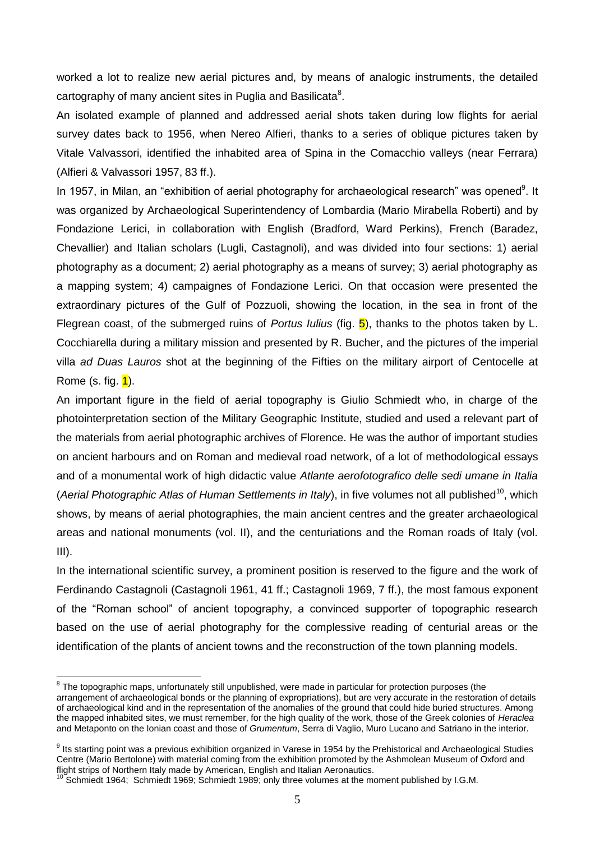worked a lot to realize new aerial pictures and, by means of analogic instruments, the detailed cartography of many ancient sites in Puglia and Basilicata $^8$ .

An isolated example of planned and addressed aerial shots taken during low flights for aerial survey dates back to 1956, when Nereo Alfieri, thanks to a series of oblique pictures taken by Vitale Valvassori, identified the inhabited area of Spina in the Comacchio valleys (near Ferrara) (Alfieri & Valvassori 1957, 83 ff.).

In 1957, in Milan, an "exhibition of aerial photography for archaeological research" was opened<sup>9</sup>. It was organized by Archaeological Superintendency of Lombardia (Mario Mirabella Roberti) and by Fondazione Lerici, in collaboration with English (Bradford, Ward Perkins), French (Baradez, Chevallier) and Italian scholars (Lugli, Castagnoli), and was divided into four sections: 1) aerial photography as a document; 2) aerial photography as a means of survey; 3) aerial photography as a mapping system; 4) campaignes of Fondazione Lerici. On that occasion were presented the extraordinary pictures of the Gulf of Pozzuoli, showing the location, in the sea in front of the Flegrean coast, of the submerged ruins of *Portus Iulius* (fig. 5), thanks to the photos taken by L. Cocchiarella during a military mission and presented by R. Bucher, and the pictures of the imperial villa *ad Duas Lauros* shot at the beginning of the Fifties on the military airport of Centocelle at Rome (s. fig.  $1$ ).

An important figure in the field of aerial topography is Giulio Schmiedt who, in charge of the photointerpretation section of the Military Geographic Institute, studied and used a relevant part of the materials from aerial photographic archives of Florence. He was the author of important studies on ancient harbours and on Roman and medieval road network, of a lot of methodological essays and of a monumental work of high didactic value *Atlante aerofotografico delle sedi umane in Italia* (Aerial Photographic Atlas of Human Settlements in Italy), in five volumes not all published<sup>10</sup>, which shows, by means of aerial photographies, the main ancient centres and the greater archaeological areas and national monuments (vol. II), and the centuriations and the Roman roads of Italy (vol. III).

In the international scientific survey, a prominent position is reserved to the figure and the work of Ferdinando Castagnoli (Castagnoli 1961, 41 ff.; Castagnoli 1969, 7 ff.), the most famous exponent of the "Roman school" of ancient topography, a convinced supporter of topographic research based on the use of aerial photography for the complessive reading of centurial areas or the identification of the plants of ancient towns and the reconstruction of the town planning models.

<u>.</u>

<sup>&</sup>lt;sup>8</sup> The topographic maps, unfortunately still unpublished, were made in particular for protection purposes (the arrangement of archaeological bonds or the planning of expropriations), but are very accurate in the restoration of details of archaeological kind and in the representation of the anomalies of the ground that could hide buried structures. Among the mapped inhabited sites, we must remember, for the high quality of the work, those of the Greek colonies of *Heraclea* and Metaponto on the Ionian coast and those of *Grumentum*, Serra di Vaglio, Muro Lucano and Satriano in the interior.

<sup>&</sup>lt;sup>9</sup> Its starting point was a previous exhibition organized in Varese in 1954 by the Prehistorical and Archaeological Studies Centre (Mario Bertolone) with material coming from the exhibition promoted by the Ashmolean Museum of Oxford and flight strips of Northern Italy made by American, English and Italian Aeronautics.

<sup>&</sup>lt;sup>10</sup> Schmiedt 1964; Schmiedt 1969; Schmiedt 1989; only three volumes at the moment published by I.G.M.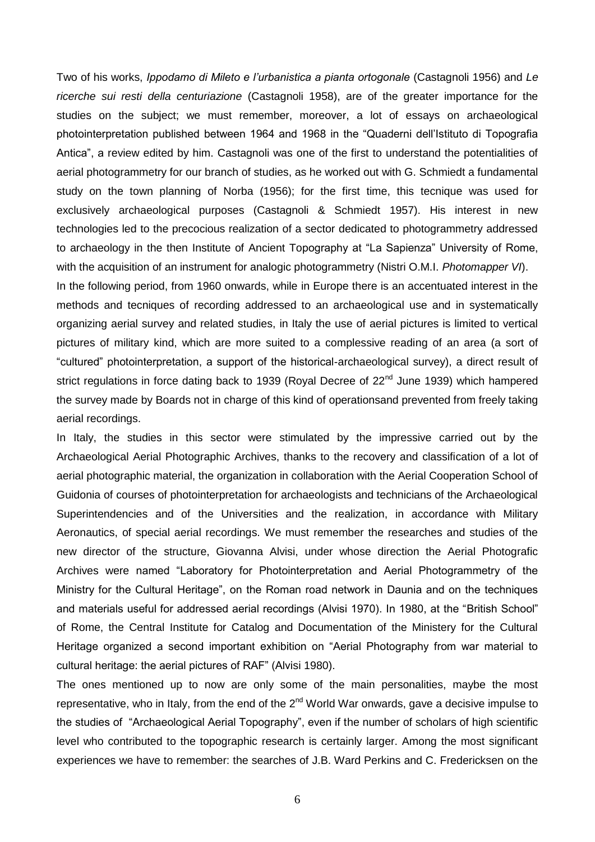Two of his works, *Ippodamo di Mileto e l'urbanistica a pianta ortogonale* (Castagnoli 1956) and *Le ricerche sui resti della centuriazione* (Castagnoli 1958), are of the greater importance for the studies on the subject; we must remember, moreover, a lot of essays on archaeological photointerpretation published between 1964 and 1968 in the "Quaderni dell'Istituto di Topografia Antica", a review edited by him. Castagnoli was one of the first to understand the potentialities of aerial photogrammetry for our branch of studies, as he worked out with G. Schmiedt a fundamental study on the town planning of Norba (1956); for the first time, this tecnique was used for exclusively archaeological purposes (Castagnoli & Schmiedt 1957). His interest in new technologies led to the precocious realization of a sector dedicated to photogrammetry addressed to archaeology in the then Institute of Ancient Topography at "La Sapienza" University of Rome, with the acquisition of an instrument for analogic photogrammetry (Nistri O.M.I. *Photomapper VI*). In the following period, from 1960 onwards, while in Europe there is an accentuated interest in the methods and tecniques of recording addressed to an archaeological use and in systematically organizing aerial survey and related studies, in Italy the use of aerial pictures is limited to vertical pictures of military kind, which are more suited to a complessive reading of an area (a sort of "cultured" photointerpretation, a support of the historical-archaeological survey), a direct result of strict regulations in force dating back to 1939 (Royal Decree of 22<sup>nd</sup> June 1939) which hampered the survey made by Boards not in charge of this kind of operationsand prevented from freely taking aerial recordings.

In Italy, the studies in this sector were stimulated by the impressive carried out by the Archaeological Aerial Photographic Archives, thanks to the recovery and classification of a lot of aerial photographic material, the organization in collaboration with the Aerial Cooperation School of Guidonia of courses of photointerpretation for archaeologists and technicians of the Archaeological Superintendencies and of the Universities and the realization, in accordance with Military Aeronautics, of special aerial recordings. We must remember the researches and studies of the new director of the structure, Giovanna Alvisi, under whose direction the Aerial Photografic Archives were named "Laboratory for Photointerpretation and Aerial Photogrammetry of the Ministry for the Cultural Heritage", on the Roman road network in Daunia and on the techniques and materials useful for addressed aerial recordings (Alvisi 1970). In 1980, at the "British School" of Rome, the Central Institute for Catalog and Documentation of the Ministery for the Cultural Heritage organized a second important exhibition on "Aerial Photography from war material to cultural heritage: the aerial pictures of RAF" (Alvisi 1980).

The ones mentioned up to now are only some of the main personalities, maybe the most representative, who in Italy, from the end of the  $2<sup>nd</sup>$  World War onwards, gave a decisive impulse to the studies of "Archaeological Aerial Topography", even if the number of scholars of high scientific level who contributed to the topographic research is certainly larger. Among the most significant experiences we have to remember: the searches of J.B. Ward Perkins and C. Fredericksen on the

6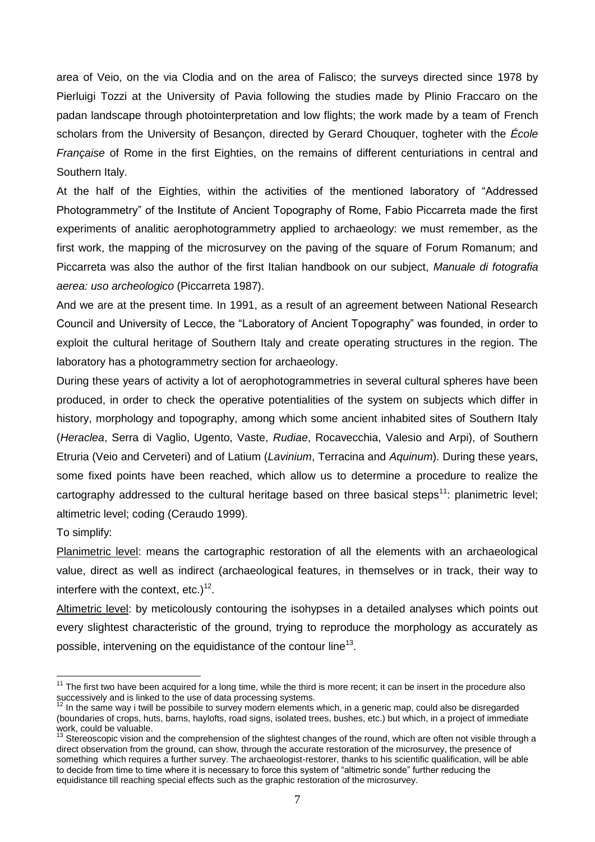area of Veio, on the via Clodia and on the area of Falisco; the surveys directed since 1978 by Pierluigi Tozzi at the University of Pavia following the studies made by Plinio Fraccaro on the padan landscape through photointerpretation and low flights; the work made by a team of French scholars from the University of Besançon, directed by Gerard Chouquer, togheter with the *École Française* of Rome in the first Eighties, on the remains of different centuriations in central and Southern Italy.

At the half of the Eighties, within the activities of the mentioned laboratory of "Addressed Photogrammetry" of the Institute of Ancient Topography of Rome, Fabio Piccarreta made the first experiments of analitic aerophotogrammetry applied to archaeology: we must remember, as the first work, the mapping of the microsurvey on the paving of the square of Forum Romanum; and Piccarreta was also the author of the first Italian handbook on our subject, *Manuale di fotografia aerea: uso archeologico* (Piccarreta 1987).

And we are at the present time. In 1991, as a result of an agreement between National Research Council and University of Lecce, the "Laboratory of Ancient Topography" was founded, in order to exploit the cultural heritage of Southern Italy and create operating structures in the region. The laboratory has a photogrammetry section for archaeology.

During these years of activity a lot of aerophotogrammetries in several cultural spheres have been produced, in order to check the operative potentialities of the system on subjects which differ in history, morphology and topography, among which some ancient inhabited sites of Southern Italy (*Heraclea*, Serra di Vaglio, Ugento, Vaste, *Rudiae*, Rocavecchia, Valesio and Arpi), of Southern Etruria (Veio and Cerveteri) and of Latium (*Lavinium*, Terracina and *Aquinum*). During these years, some fixed points have been reached, which allow us to determine a procedure to realize the cartography addressed to the cultural heritage based on three basical steps<sup>11</sup>: planimetric level; altimetric level; coding (Ceraudo 1999).

To simplify:

<u>.</u>

Planimetric level: means the cartographic restoration of all the elements with an archaeological value, direct as well as indirect (archaeological features, in themselves or in track, their way to interfere with the context, etc.) $12$ .

Altimetric level: by meticolously contouring the isohypses in a detailed analyses which points out every slightest characteristic of the ground, trying to reproduce the morphology as accurately as possible, intervening on the equidistance of the contour line<sup>13</sup>.

 $11$  The first two have been acquired for a long time, while the third is more recent; it can be insert in the procedure also successively and is linked to the use of data processing systems.

<sup>12</sup> In the same way i twill be possibile to survey modern elements which, in a generic map, could also be disregarded (boundaries of crops, huts, barns, haylofts, road signs, isolated trees, bushes, etc.) but which, in a project of immediate work, could be valuable.

<sup>&</sup>lt;sup>13</sup> Stereoscopic vision and the comprehension of the slightest changes of the round, which are often not visible through a direct observation from the ground, can show, through the accurate restoration of the microsurvey, the presence of something which requires a further survey. The archaeologist-restorer, thanks to his scientific qualification, will be able to decide from time to time where it is necessary to force this system of "altimetric sonde" further reducing the equidistance till reaching special effects such as the graphic restoration of the microsurvey.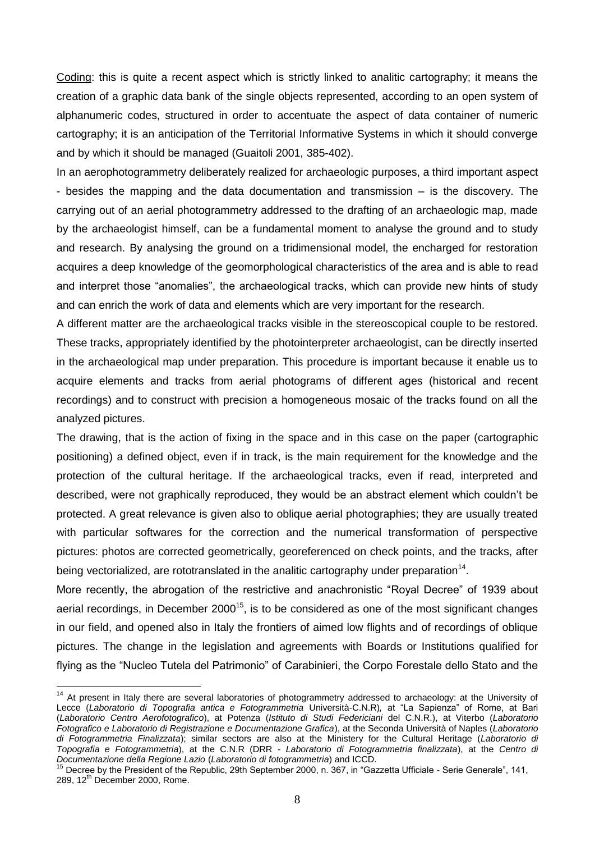Coding: this is quite a recent aspect which is strictly linked to analitic cartography; it means the creation of a graphic data bank of the single objects represented, according to an open system of alphanumeric codes, structured in order to accentuate the aspect of data container of numeric cartography; it is an anticipation of the Territorial Informative Systems in which it should converge and by which it should be managed (Guaitoli 2001, 385-402).

In an aerophotogrammetry deliberately realized for archaeologic purposes, a third important aspect - besides the mapping and the data documentation and transmission – is the discovery. The carrying out of an aerial photogrammetry addressed to the drafting of an archaeologic map, made by the archaeologist himself, can be a fundamental moment to analyse the ground and to study and research. By analysing the ground on a tridimensional model, the encharged for restoration acquires a deep knowledge of the geomorphological characteristics of the area and is able to read and interpret those "anomalies", the archaeological tracks, which can provide new hints of study and can enrich the work of data and elements which are very important for the research.

A different matter are the archaeological tracks visible in the stereoscopical couple to be restored. These tracks, appropriately identified by the photointerpreter archaeologist, can be directly inserted in the archaeological map under preparation. This procedure is important because it enable us to acquire elements and tracks from aerial photograms of different ages (historical and recent recordings) and to construct with precision a homogeneous mosaic of the tracks found on all the analyzed pictures.

The drawing, that is the action of fixing in the space and in this case on the paper (cartographic positioning) a defined object, even if in track, is the main requirement for the knowledge and the protection of the cultural heritage. If the archaeological tracks, even if read, interpreted and described, were not graphically reproduced, they would be an abstract element which couldn't be protected. A great relevance is given also to oblique aerial photographies; they are usually treated with particular softwares for the correction and the numerical transformation of perspective pictures: photos are corrected geometrically, georeferenced on check points, and the tracks, after being vectorialized, are rototranslated in the analitic cartography under preparation<sup>14</sup>.

More recently, the abrogation of the restrictive and anachronistic "Royal Decree" of 1939 about aerial recordings, in December  $2000^{15}$ , is to be considered as one of the most significant changes in our field, and opened also in Italy the frontiers of aimed low flights and of recordings of oblique pictures. The change in the legislation and agreements with Boards or Institutions qualified for flying as the "Nucleo Tutela del Patrimonio" of Carabinieri, the Corpo Forestale dello Stato and the

1

<sup>&</sup>lt;sup>14</sup> At present in Italy there are several laboratories of photogrammetry addressed to archaeology: at the University of Lecce (*Laboratorio di Topografia antica e Fotogrammetria* Università-C.N.R)*,* at "La Sapienza" of Rome, at Bari (*Laboratorio Centro Aerofotografico*), at Potenza (*Istituto di Studi Federiciani* del C.N.R.), at Viterbo (*Laboratorio Fotografico e Laboratorio di Registrazione e Documentazione Grafica*), at the Seconda Università of Naples (*Laboratorio di Fotogrammetria Finalizzata*); similar sectors are also at the Ministery for the Cultural Heritage (*Laboratorio di Topografia e Fotogrammetria*), at the C.N.R (DRR - *Laboratorio di Fotogrammetria finalizzata*), at the *Centro di Documentazione della Regione Lazio* (*Laboratorio di fotogrammetria*) and ICCD.

<sup>&</sup>lt;sup>15</sup> Decree by the President of the Republic, 29th September 2000, n. 367, in "Gazzetta Ufficiale - Serie Generale", 141, 289,  $12<sup>th</sup>$  December 2000, Rome.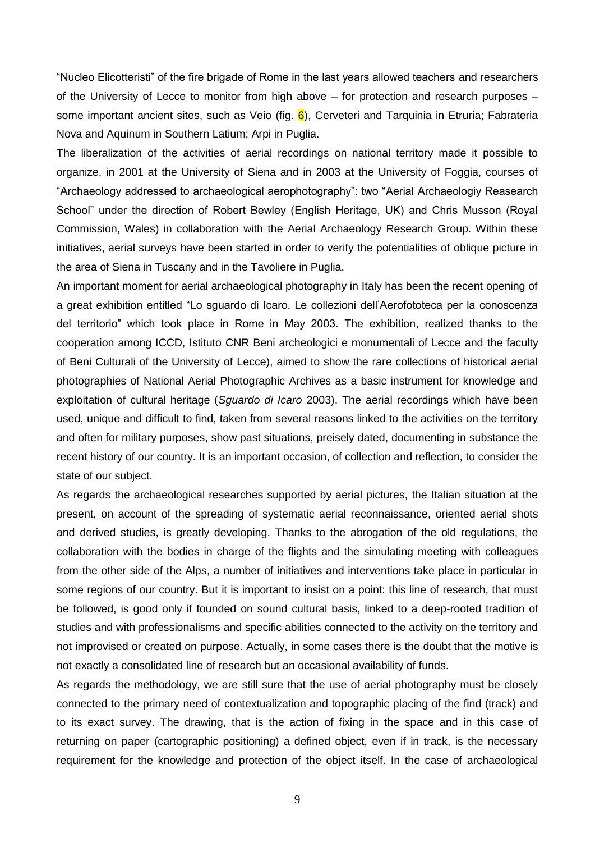"Nucleo Elicotteristi" of the fire brigade of Rome in the last years allowed teachers and researchers of the University of Lecce to monitor from high above – for protection and research purposes – some important ancient sites, such as Veio (fig.  $\frac{6}{10}$ ), Cerveteri and Tarquinia in Etruria; Fabrateria Nova and Aquinum in Southern Latium; Arpi in Puglia.

The liberalization of the activities of aerial recordings on national territory made it possible to organize, in 2001 at the University of Siena and in 2003 at the University of Foggia, courses of "Archaeology addressed to archaeological aerophotography": two "Aerial Archaeologiy Reasearch School" under the direction of Robert Bewley (English Heritage, UK) and Chris Musson (Royal Commission, Wales) in collaboration with the Aerial Archaeology Research Group. Within these initiatives, aerial surveys have been started in order to verify the potentialities of oblique picture in the area of Siena in Tuscany and in the Tavoliere in Puglia.

An important moment for aerial archaeological photography in Italy has been the recent opening of a great exhibition entitled "Lo sguardo di Icaro. Le collezioni dell'Aerofototeca per la conoscenza del territorio" which took place in Rome in May 2003. The exhibition, realized thanks to the cooperation among ICCD, Istituto CNR Beni archeologici e monumentali of Lecce and the faculty of Beni Culturali of the University of Lecce), aimed to show the rare collections of historical aerial photographies of National Aerial Photographic Archives as a basic instrument for knowledge and exploitation of cultural heritage (*Sguardo di Icaro* 2003). The aerial recordings which have been used, unique and difficult to find, taken from several reasons linked to the activities on the territory and often for military purposes, show past situations, preisely dated, documenting in substance the recent history of our country. It is an important occasion, of collection and reflection, to consider the state of our subject.

As regards the archaeological researches supported by aerial pictures, the Italian situation at the present, on account of the spreading of systematic aerial reconnaissance, oriented aerial shots and derived studies, is greatly developing. Thanks to the abrogation of the old regulations, the collaboration with the bodies in charge of the flights and the simulating meeting with colleagues from the other side of the Alps, a number of initiatives and interventions take place in particular in some regions of our country. But it is important to insist on a point: this line of research, that must be followed, is good only if founded on sound cultural basis, linked to a deep-rooted tradition of studies and with professionalisms and specific abilities connected to the activity on the territory and not improvised or created on purpose. Actually, in some cases there is the doubt that the motive is not exactly a consolidated line of research but an occasional availability of funds.

As regards the methodology, we are still sure that the use of aerial photography must be closely connected to the primary need of contextualization and topographic placing of the find (track) and to its exact survey. The drawing, that is the action of fixing in the space and in this case of returning on paper (cartographic positioning) a defined object, even if in track, is the necessary requirement for the knowledge and protection of the object itself. In the case of archaeological

9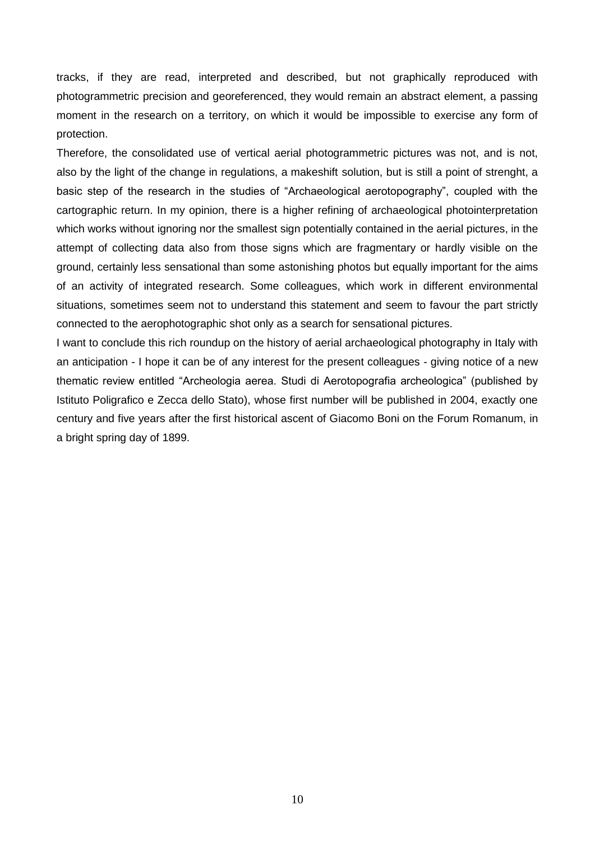tracks, if they are read, interpreted and described, but not graphically reproduced with photogrammetric precision and georeferenced, they would remain an abstract element, a passing moment in the research on a territory, on which it would be impossible to exercise any form of protection.

Therefore, the consolidated use of vertical aerial photogrammetric pictures was not, and is not, also by the light of the change in regulations, a makeshift solution, but is still a point of strenght, a basic step of the research in the studies of "Archaeological aerotopography", coupled with the cartographic return. In my opinion, there is a higher refining of archaeological photointerpretation which works without ignoring nor the smallest sign potentially contained in the aerial pictures, in the attempt of collecting data also from those signs which are fragmentary or hardly visible on the ground, certainly less sensational than some astonishing photos but equally important for the aims of an activity of integrated research. Some colleagues, which work in different environmental situations, sometimes seem not to understand this statement and seem to favour the part strictly connected to the aerophotographic shot only as a search for sensational pictures.

I want to conclude this rich roundup on the history of aerial archaeological photography in Italy with an anticipation - I hope it can be of any interest for the present colleagues - giving notice of a new thematic review entitled "Archeologia aerea. Studi di Aerotopografia archeologica" (published by Istituto Poligrafico e Zecca dello Stato), whose first number will be published in 2004, exactly one century and five years after the first historical ascent of Giacomo Boni on the Forum Romanum, in a bright spring day of 1899.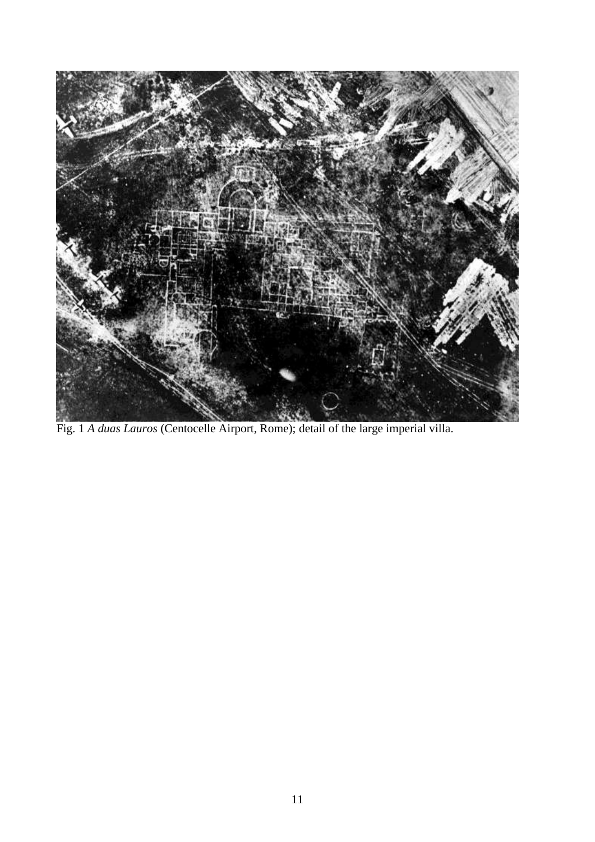

Fig. 1 *A duas Lauros* (Centocelle Airport, Rome); detail of the large imperial villa.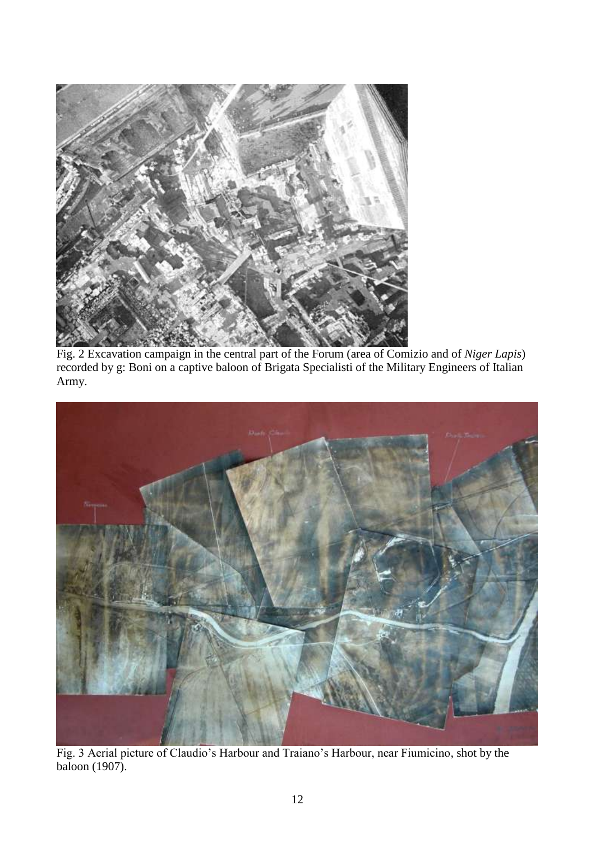

Fig. 2 Excavation campaign in the central part of the Forum (area of Comizio and of *Niger Lapis*) recorded by g: Boni on a captive baloon of Brigata Specialisti of the Military Engineers of Italian Army.



Fig. 3 Aerial picture of Claudio's Harbour and Traiano's Harbour, near Fiumicino, shot by the baloon (1907).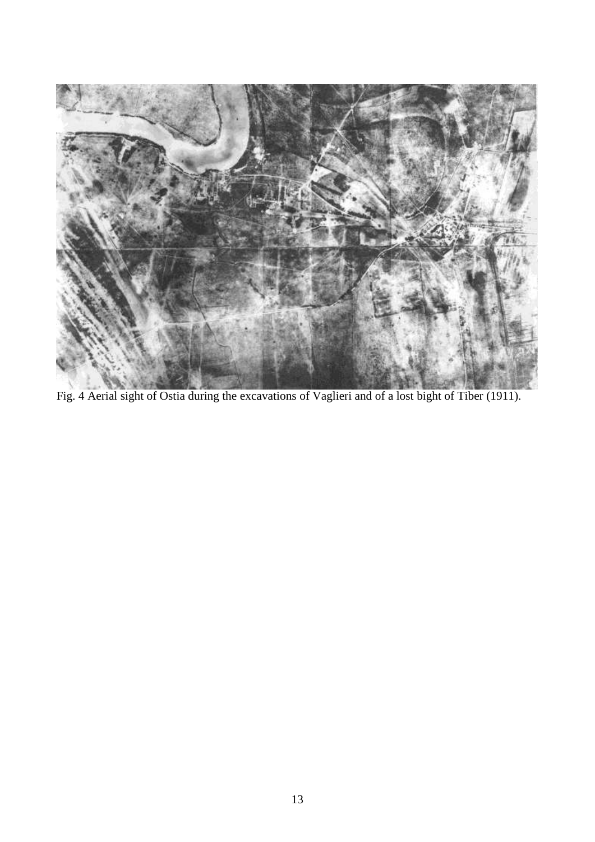

Fig. 4 Aerial sight of Ostia during the excavations of Vaglieri and of a lost bight of Tiber (1911).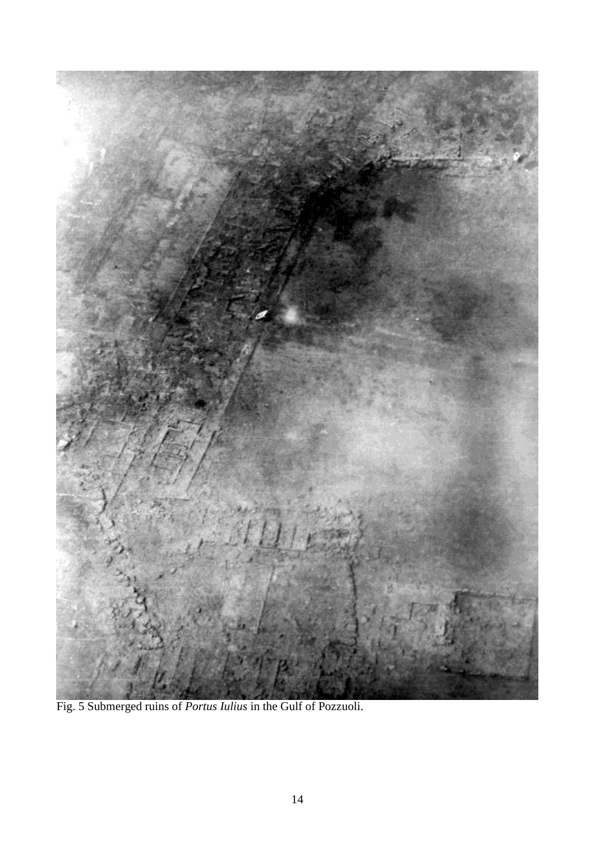

Fig. 5 Submerged ruins of *Portus Iulius* in the Gulf of Pozzuoli.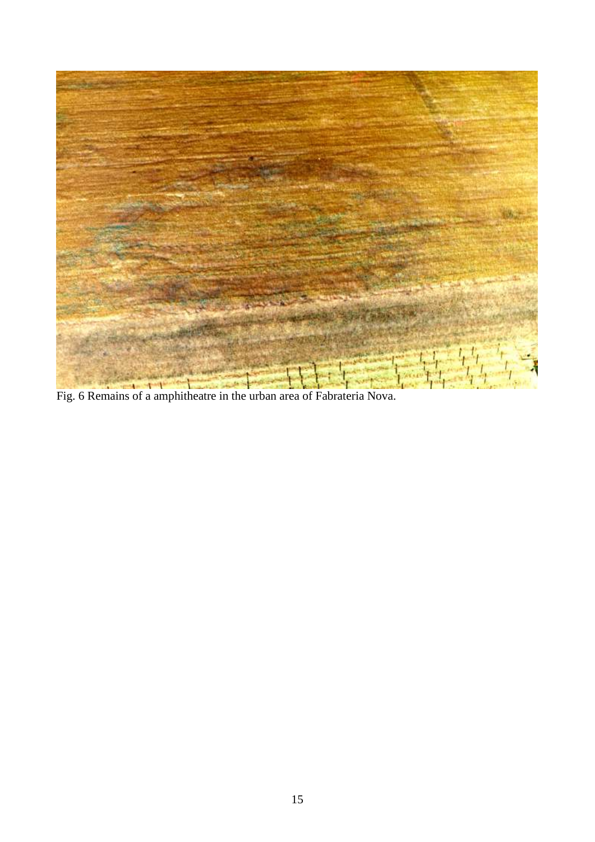

Fig. 6 Remains of a amphitheatre in the urban area of Fabrateria Nova.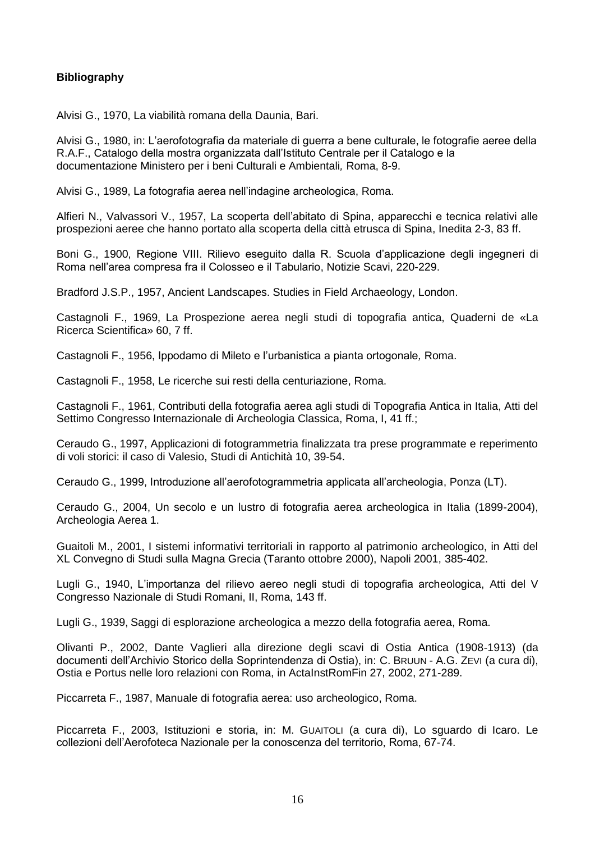## **Bibliography**

Alvisi G., 1970, La viabilità romana della Daunia, Bari.

Alvisi G., 1980, in: L'aerofotografia da materiale di guerra a bene culturale, le fotografie aeree della R.A.F., Catalogo della mostra organizzata dall'Istituto Centrale per il Catalogo e la documentazione Ministero per i beni Culturali e Ambientali*,* Roma, 8-9.

Alvisi G., 1989, La fotografia aerea nell'indagine archeologica, Roma.

Alfieri N., Valvassori V., 1957, La scoperta dell'abitato di Spina, apparecchi e tecnica relativi alle prospezioni aeree che hanno portato alla scoperta della città etrusca di Spina, Inedita 2-3, 83 ff.

Boni G., 1900, Regione VIII. Rilievo eseguito dalla R. Scuola d'applicazione degli ingegneri di Roma nell'area compresa fra il Colosseo e il Tabulario, Notizie Scavi, 220-229.

Bradford J.S.P., 1957, Ancient Landscapes. Studies in Field Archaeology, London.

Castagnoli F., 1969, La Prospezione aerea negli studi di topografia antica, Quaderni de «La Ricerca Scientifica» 60, 7 ff.

Castagnoli F., 1956, Ippodamo di Mileto e l'urbanistica a pianta ortogonale*,* Roma.

Castagnoli F., 1958, Le ricerche sui resti della centuriazione, Roma.

Castagnoli F., 1961, Contributi della fotografia aerea agli studi di Topografia Antica in Italia, Atti del Settimo Congresso Internazionale di Archeologia Classica, Roma, I, 41 ff.;

Ceraudo G., 1997, Applicazioni di fotogrammetria finalizzata tra prese programmate e reperimento di voli storici: il caso di Valesio, Studi di Antichità 10, 39-54.

Ceraudo G., 1999, Introduzione all'aerofotogrammetria applicata all'archeologia, Ponza (LT).

Ceraudo G., 2004, Un secolo e un lustro di fotografia aerea archeologica in Italia (1899-2004), Archeologia Aerea 1.

Guaitoli M., 2001, I sistemi informativi territoriali in rapporto al patrimonio archeologico, in Atti del XL Convegno di Studi sulla Magna Grecia (Taranto ottobre 2000), Napoli 2001, 385-402.

Lugli G., 1940, L'importanza del rilievo aereo negli studi di topografia archeologica, Atti del V Congresso Nazionale di Studi Romani, II, Roma, 143 ff.

Lugli G., 1939, Saggi di esplorazione archeologica a mezzo della fotografia aerea, Roma.

Olivanti P., 2002, Dante Vaglieri alla direzione degli scavi di Ostia Antica (1908-1913) (da documenti dell'Archivio Storico della Soprintendenza di Ostia), in: C. BRUUN - A.G. ZEVI (a cura di), Ostia e Portus nelle loro relazioni con Roma, in ActaInstRomFin 27, 2002, 271-289.

Piccarreta F., 1987, Manuale di fotografia aerea: uso archeologico, Roma.

Piccarreta F., 2003, Istituzioni e storia, in: M. GUAITOLI (a cura di), Lo sguardo di Icaro. Le collezioni dell'Aerofoteca Nazionale per la conoscenza del territorio, Roma, 67-74.